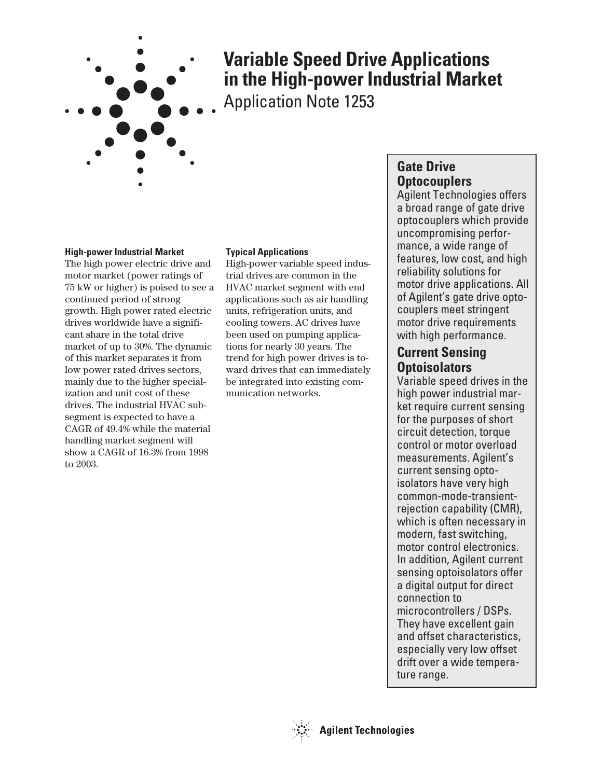

# **Variable Speed Drive Applications in the High-power Industrial Market**

Application Note 1253

# **High-power Industrial Market**

The high power electric drive and motor market (power ratings of 75 kW or higher) is poised to see a continued period of strong growth. High power rated electric drives worldwide have a significant share in the total drive market of up to 30%. The dynamic of this market separates it from low power rated drives sectors, mainly due to the higher specialization and unit cost of these drives. The industrial HVAC subsegment is expected to have a CAGR of 49.4% while the material handling market segment will show a CAGR of 16.3% from 1998 to 2003.

# **Typical Applications**

High-power variable speed industrial drives are common in the HVAC market segment with end applications such as air handling units, refrigeration units, and cooling towers. AC drives have been used on pumping applications for nearly 30 years. The trend for high power drives is toward drives that can immediately be integrated into existing communication networks.

# **Gate Drive Optocouplers**

Agilent Technologies offers a broad range of gate drive optocouplers which provide uncompromising performance, a wide range of features, low cost, and high reliability solutions for motor drive applications. All of Agilent's gate drive optocouplers meet stringent motor drive requirements with high performance.

# **Current Sensing Optoisolators**

Variable speed drives in the high power industrial market require current sensing for the purposes of short circuit detection, torque control or motor overload measurements. Agilent's current sensing optoisolators have very high common-mode-transientrejection capability (CMR), which is often necessary in modern, fast switching, motor control electronics. In addition, Agilent current sensing optoisolators offer a digital output for direct connection to microcontrollers / DSPs. They have excellent gain and offset characteristics, especially very low offset drift over a wide temperature range.

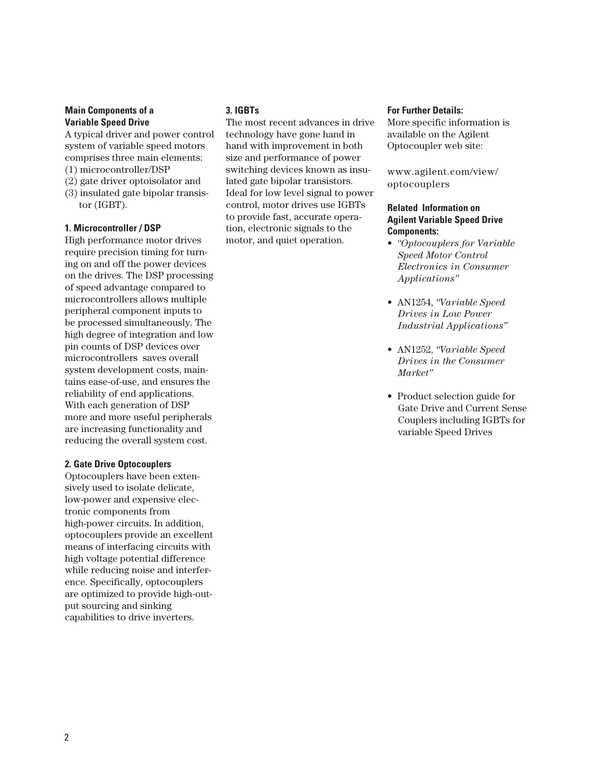# **Main Components of a Variable Speed Drive**

A typical driver and power control system of variable speed motors comprises three main elements:

- (1) microcontroller/DSP
- (2) gate driver optoisolator and
- (3) insulated gate bipolar transistor (IGBT).

#### **1. Microcontroller / DSP**

High performance motor drives require precision timing for turning on and off the power devices on the drives. The DSP processing of speed advantage compared to microcontrollers allows multiple peripheral component inputs to be processed simultaneously. The high degree of integration and low pin counts of DSP devices over microcontrollers saves overall system development costs, maintains ease-of-use, and ensures the reliability of end applications. With each generation of DSP more and more useful peripherals are increasing functionality and reducing the overall system cost.

#### **2. Gate Drive Optocouplers**

Optocouplers have been extensively used to isolate delicate, low-power and expensive electronic components from high-power circuits. In addition, optocouplers provide an excellent means of interfacing circuits with high voltage potential difference while reducing noise and interference. Specifically, optocouplers are optimized to provide high-output sourcing and sinking capabilities to drive inverters.

# **3. IGBTs**

The most recent advances in drive technology have gone hand in hand with improvement in both size and performance of power switching devices known as insulated gate bipolar transistors. Ideal for low level signal to power control, motor drives use IGBTs to provide fast, accurate operation, electronic signals to the motor, and quiet operation.

#### **For Further Details:**

More specific information is available on the Agilent Optocoupler web site:

www.agilent.com/view/ optocouplers

### **Related Information on Agilent Variable Speed Drive Components:**

- *"Optocouplers for Variable Speed Motor Control Electronics in Consumer Applications"*
- AN1254, *"Variable Speed Drives in Low Power Industrial Applications"*
- AN1252, *"Variable Speed Drives in the Consumer Market"*
- Product selection guide for Gate Drive and Current Sense Couplers including IGBTs for variable Speed Drives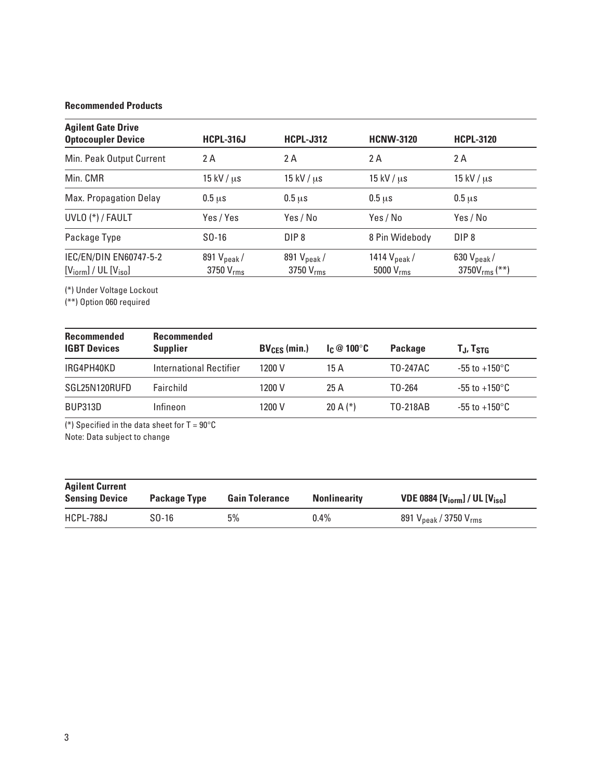# **Recommended Products**

| <b>Agilent Gate Drive</b><br><b>Optocoupler Device</b> | <b>HCPL-316J</b>       | <b>HCPL-J312</b>       | <b>HCNW-3120</b>        | <b>HCPL-3120</b>       |
|--------------------------------------------------------|------------------------|------------------------|-------------------------|------------------------|
| Min. Peak Output Current                               | 2 A                    | 2 A                    | 2 A                     | 2 A                    |
| Min. CMR                                               | $15$ kV / $\mu$ s      | $15$ kV / $\mu$ s      | $15$ kV / $\mu$ s       | $15$ kV / $\mu$ s      |
| Max. Propagation Delay                                 | $0.5 \,\mathrm{us}$    | $0.5 \mu s$            | $0.5 \mu s$             | $0.5 \mu s$            |
| UVLO (*) / FAULT                                       | Yes / Yes              | Yes / No               | Yes / No                | Yes / No               |
| Package Type                                           | $SO-16$                | DIP <sub>8</sub>       | 8 Pin Widebody          | DIP <sub>8</sub>       |
| IEC/EN/DIN EN60747-5-2                                 | 891 $V_{\text{peak}}/$ | 891 $V_{\text{peak}}/$ | 1414 $V_{\text{peak}}/$ | 630 $V_{\text{peak}}/$ |
| $[Vform] / UL [Viso]$                                  | 3750 $V_{\rm rms}$     | 3750 $V_{\rm rms}$     | 5000 $V_{rms}$          | 3750 $V_{rms}$ (**)    |

(\*) Under Voltage Lockout

(\*\*) Option 060 required

| <b>Recommended</b><br><b>IGBT Devices</b> | <b>Recommended</b><br><b>Supplier</b> | $BV_{CES}$ (min.) | $\mathsf{Ic} \otimes 100^\circ \mathsf{C}$ | Package             | T.J, T <sub>STG</sub>     |
|-------------------------------------------|---------------------------------------|-------------------|--------------------------------------------|---------------------|---------------------------|
| IRG4PH40KD                                | International Rectifier               | 1200 V            | 15A                                        | T0-247AC            | $-55$ to $+150^{\circ}$ C |
| SGL25N120RUFD                             | Fairchild                             | 1200 V            | 25A                                        | T <sub>0</sub> -264 | $-55$ to $+150^{\circ}$ C |
| <b>BUP313D</b>                            | Infineon                              | 1200 V            | 20 A $(*)$                                 | T0-218AB            | $-55$ to $+150^{\circ}$ C |

(\*) Specified in the data sheet for  $T = 90^{\circ}$ C Note: Data subject to change

| <b>Agilent Current</b><br><b>Sensing Device</b> | <b>Package Type</b> | <b>Gain Tolerance</b> | <b>Nonlinearity</b> | VDE 0884 $[Vi_{\text{form}}]$ / UL $[Viso]$ |
|-------------------------------------------------|---------------------|-----------------------|---------------------|---------------------------------------------|
| HCPL-788J                                       | $SD-16$             | 5%                    | $0.4\%$             | 891 $V_{\rm peak}$ / 3750 $V_{\rm rms}$     |